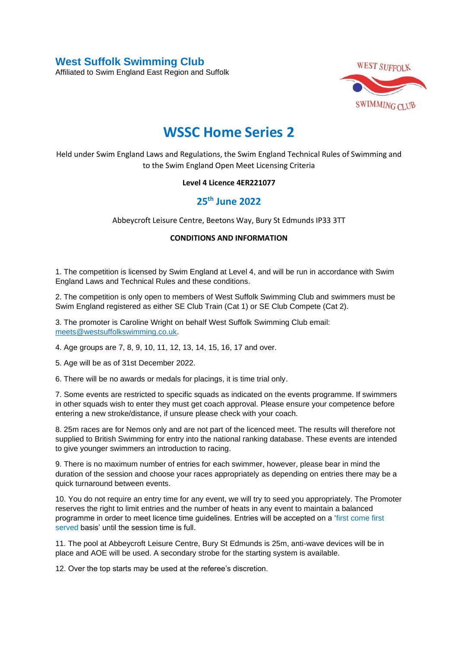**West Suffolk Swimming Club** 

Affiliated to Swim England East Region and Suffolk



## **WSSC Home Series 2**

Held under Swim England Laws and Regulations, the Swim England Technical Rules of Swimming and to the Swim England Open Meet Licensing Criteria

## **Level 4 Licence 4ER221077**

## **25th June 2022**

Abbeycroft Leisure Centre, Beetons Way, Bury St Edmunds IP33 3TT

## **CONDITIONS AND INFORMATION**

1. The competition is licensed by Swim England at Level 4, and will be run in accordance with Swim England Laws and Technical Rules and these conditions.

2. The competition is only open to members of West Suffolk Swimming Club and swimmers must be Swim England registered as either SE Club Train (Cat 1) or SE Club Compete (Cat 2).

3. The promoter is Caroline Wright on behalf West Suffolk Swimming Club email: [meets@westsuffolkswimming.co.uk.](about:blank)

4. Age groups are 7, 8, 9, 10, 11, 12, 13, 14, 15, 16, 17 and over.

5. Age will be as of 31st December 2022.

6. There will be no awards or medals for placings, it is time trial only.

7. Some events are restricted to specific squads as indicated on the events programme. If swimmers in other squads wish to enter they must get coach approval. Please ensure your competence before entering a new stroke/distance, if unsure please check with your coach.

8. 25m races are for Nemos only and are not part of the licenced meet. The results will therefore not supplied to British Swimming for entry into the national ranking database. These events are intended to give younger swimmers an introduction to racing.

9. There is no maximum number of entries for each swimmer, however, please bear in mind the duration of the session and choose your races appropriately as depending on entries there may be a quick turnaround between events.

10. You do not require an entry time for any event, we will try to seed you appropriately. The Promoter reserves the right to limit entries and the number of heats in any event to maintain a balanced programme in order to meet licence time guidelines. Entries will be accepted on a 'first come first served basis' until the session time is full.

11. The pool at Abbeycroft Leisure Centre, Bury St Edmunds is 25m, anti-wave devices will be in place and AOE will be used. A secondary strobe for the starting system is available.

12. Over the top starts may be used at the referee's discretion.